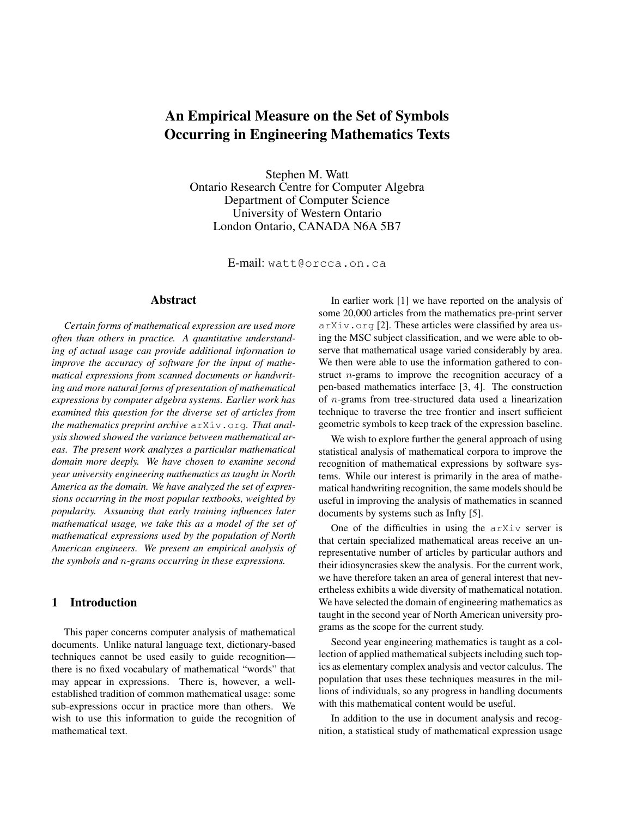# An Empirical Measure on the Set of Symbols Occurring in Engineering Mathematics Texts

Stephen M. Watt Ontario Research Centre for Computer Algebra Department of Computer Science University of Western Ontario London Ontario, CANADA N6A 5B7

E-mail: watt@orcca.on.ca

## Abstract

*Certain forms of mathematical expression are used more often than others in practice. A quantitative understanding of actual usage can provide additional information to improve the accuracy of software for the input of mathematical expressions from scanned documents or handwriting and more natural forms of presentation of mathematical expressions by computer algebra systems. Earlier work has examined this question for the diverse set of articles from the mathematics preprint archive* arXiv.org*. That analysis showed showed the variance between mathematical areas. The present work analyzes a particular mathematical domain more deeply. We have chosen to examine second year university engineering mathematics as taught in North America as the domain. We have analyzed the set of expressions occurring in the most popular textbooks, weighted by popularity. Assuming that early training influences later mathematical usage, we take this as a model of the set of mathematical expressions used by the population of North American engineers. We present an empirical analysis of the symbols and* n*-grams occurring in these expressions.*

# 1 Introduction

This paper concerns computer analysis of mathematical documents. Unlike natural language text, dictionary-based techniques cannot be used easily to guide recognition there is no fixed vocabulary of mathematical "words" that may appear in expressions. There is, however, a wellestablished tradition of common mathematical usage: some sub-expressions occur in practice more than others. We wish to use this information to guide the recognition of mathematical text.

In earlier work [1] we have reported on the analysis of some 20,000 articles from the mathematics pre-print server arXiv.org [2]. These articles were classified by area using the MSC subject classification, and we were able to observe that mathematical usage varied considerably by area. We then were able to use the information gathered to construct n-grams to improve the recognition accuracy of a pen-based mathematics interface [3, 4]. The construction of n-grams from tree-structured data used a linearization technique to traverse the tree frontier and insert sufficient geometric symbols to keep track of the expression baseline.

We wish to explore further the general approach of using statistical analysis of mathematical corpora to improve the recognition of mathematical expressions by software systems. While our interest is primarily in the area of mathematical handwriting recognition, the same models should be useful in improving the analysis of mathematics in scanned documents by systems such as Infty [5].

One of the difficulties in using the arXiv server is that certain specialized mathematical areas receive an unrepresentative number of articles by particular authors and their idiosyncrasies skew the analysis. For the current work, we have therefore taken an area of general interest that nevertheless exhibits a wide diversity of mathematical notation. We have selected the domain of engineering mathematics as taught in the second year of North American university programs as the scope for the current study.

Second year engineering mathematics is taught as a collection of applied mathematical subjects including such topics as elementary complex analysis and vector calculus. The population that uses these techniques measures in the millions of individuals, so any progress in handling documents with this mathematical content would be useful.

In addition to the use in document analysis and recognition, a statistical study of mathematical expression usage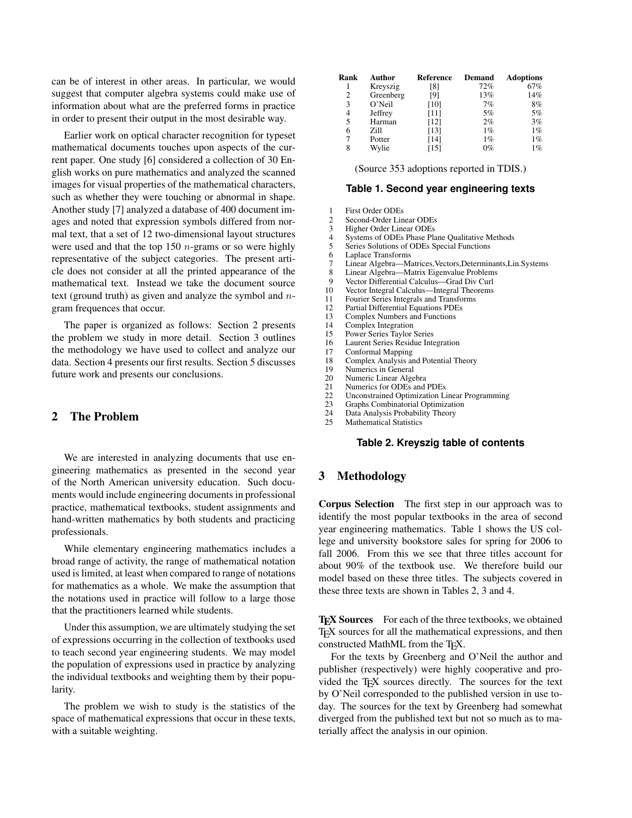can be of interest in other areas. In particular, we would suggest that computer algebra systems could make use of information about what are the preferred forms in practice in order to present their output in the most desirable way.

Earlier work on optical character recognition for typeset mathematical documents touches upon aspects of the current paper. One study [6] considered a collection of 30 English works on pure mathematics and analyzed the scanned images for visual properties of the mathematical characters, such as whether they were touching or abnormal in shape. Another study [7] analyzed a database of 400 document images and noted that expression symbols differed from normal text, that a set of 12 two-dimensional layout structures were used and that the top 150  $n$ -grams or so were highly representative of the subject categories. The present article does not consider at all the printed appearance of the mathematical text. Instead we take the document source text (ground truth) as given and analyze the symbol and ngram frequences that occur.

The paper is organized as follows: Section 2 presents the problem we study in more detail. Section 3 outlines the methodology we have used to collect and analyze our data. Section 4 presents our first results. Section 5 discusses future work and presents our conclusions.

### 2 The Problem

We are interested in analyzing documents that use engineering mathematics as presented in the second year of the North American university education. Such documents would include engineering documents in professional practice, mathematical textbooks, student assignments and hand-written mathematics by both students and practicing professionals.

While elementary engineering mathematics includes a broad range of activity, the range of mathematical notation used is limited, at least when compared to range of notations for mathematics as a whole. We make the assumption that the notations used in practice will follow to a large those that the practitioners learned while students.

Under this assumption, we are ultimately studying the set of expressions occurring in the collection of textbooks used to teach second year engineering students. We may model the population of expressions used in practice by analyzing the individual textbooks and weighting them by their popularity.

The problem we wish to study is the statistics of the space of mathematical expressions that occur in these texts, with a suitable weighting.

| Rank | Author    | Reference | Demand | <b>Adoptions</b> |
|------|-----------|-----------|--------|------------------|
|      | Kreyszig  | [8]       | 72%    | 67%              |
| 2    | Greenberg | [9]       | 13%    | 14%              |
| 3    | O'Neil    | [10]      | 7%     | 8%               |
| 4    | Jeffrey   | [11]      | 5%     | 5%               |
| 5    | Harman    | [12]      | 2%     | 3%               |
| 6    | Zill      | [13]      | $1\%$  | $1\%$            |
| 7    | Potter    | [14]      | $1\%$  | $1\%$            |
| 8    | Wylie     | [15]      | $0\%$  | $1\%$            |

(Source 353 adoptions reported in TDIS.)

#### **Table 1. Second year engineering texts**

|  |  |  | <b>First Order ODEs</b> |  |
|--|--|--|-------------------------|--|
|--|--|--|-------------------------|--|

- 2 Second-Order Linear ODEs
- 3 Higher Order Linear ODEs<br>4 Systems of ODEs Phase Pla
- 4 Systems of ODEs Phase Plane Qualitative Methods<br>5 Series Solutions of ODEs Special Functions
- Series Solutions of ODEs Special Functions
- 6 Laplace Transforms
- 7 Linear Algebra—Matrices,Vectors,Determinants,Lin.Systems
- 8 Linear Algebra—Matrix Eigenvalue Problems
- 9 Vector Differential Calculus—Grad Div Curl
- 10 Vector Integral Calculus—Integral Theorems<br>11 Fourier Series Integrals and Transforms
- 
- 11 Fourier Series Integrals and Transforms<br>12 Partial Differential Equations PDEs
- 12 Partial Differential Equations PDEs<br>13 Complex Numbers and Functions Complex Numbers and Functions
- 
- 14 Complex Integration<br>15 Power Series Taylor
- 15 Power Series Taylor Series<br>16 Laurent Series Residue Inte Laurent Series Residue Integration
- 17 Conformal Mapping<br>18 Complex Analysis are
- 18 Complex Analysis and Potential Theory<br>19 Numerics in General
- Numerics in General
- 20 Numeric Linear Algebra<br>21 Numerics for ODEs and
- 21 Numerics for ODEs and PDEs<br>22 Inconstrained Ontimization Li
- Unconstrained Optimization Linear Programming
- 23 Graphs Combinatorial Optimization<br>24 Data Analysis Probability Theory
- Data Analysis Probability Theory
- 25 Mathematical Statistics

#### **Table 2. Kreyszig table of contents**

## 3 Methodology

Corpus Selection The first step in our approach was to identify the most popular textbooks in the area of second year engineering mathematics. Table 1 shows the US college and university bookstore sales for spring for 2006 to fall 2006. From this we see that three titles account for about 90% of the textbook use. We therefore build our model based on these three titles. The subjects covered in these three texts are shown in Tables 2, 3 and 4.

T<sub>E</sub>X Sources For each of the three textbooks, we obtained TEX sources for all the mathematical expressions, and then constructed MathML from the T<sub>E</sub>X.

For the texts by Greenberg and O'Neil the author and publisher (respectively) were highly cooperative and provided the TEX sources directly. The sources for the text by O'Neil corresponded to the published version in use today. The sources for the text by Greenberg had somewhat diverged from the published text but not so much as to materially affect the analysis in our opinion.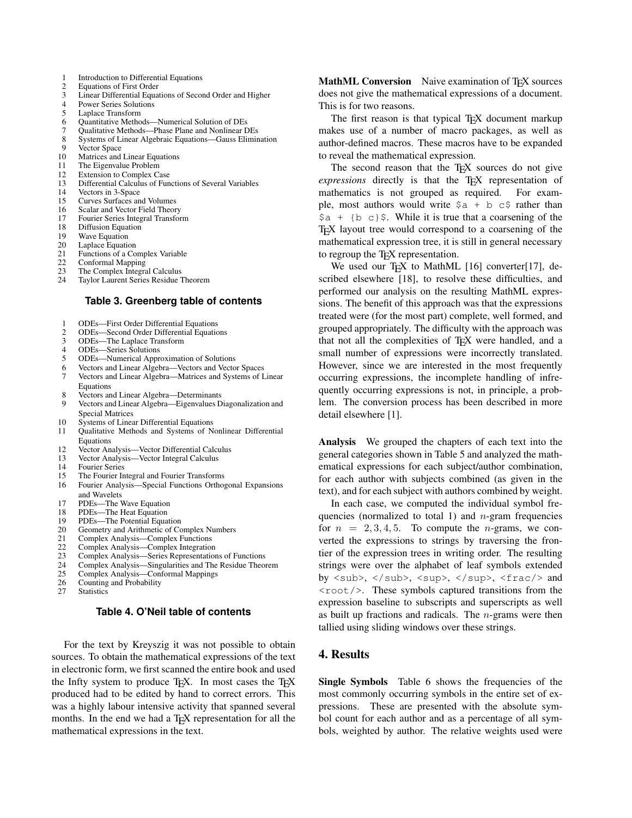- 1 Introduction to Differential Equations<br>2 Equations of First Order
- 2 Equations of First Order<br>3 Linear Differential Equa
- 3 Linear Differential Equations of Second Order and Higher
- 4 Power Series Solutions<br>5 Laplace Transform
- Laplace Transform
- 6 Quantitative Methods—Numerical Solution of DEs
- 7 Qualitative Methods—Phase Plane and Nonlinear DEs
- 8 Systems of Linear Algebraic Equations—Gauss Elimination
- 9 Vector Space<br>10 Matrices and
- Matrices and Linear Equations
- 11 The Eigenvalue Problem<br>12 Extension to Complex Ca
- 12 Extension to Complex Case<br>13 Differential Calculus of Fun
- 13 Differential Calculus of Functions of Several Variables
- 14 Vectors in 3-Space<br>15 Curves Surfaces an
- 15 Curves Surfaces and Volumes<br>16 Scalar and Vector Field Theor
- Scalar and Vector Field Theory
- 17 Fourier Series Integral Transform
- 18 Diffusion Equation<br>19 Wave Equation
- Wave Equation
- 20 Laplace Equation<br>21 Functions of a Co
- 21 Functions of a Complex Variable<br>22 Conformal Mapping
- 22 Conformal Mapping<br>23 The Complex Integra
- 23 The Complex Integral Calculus<br>24 Taylor Laurent Series Residue Taylor Laurent Series Residue Theorem

#### **Table 3. Greenberg table of contents**

- 1 ODEs—First Order Differential Equations
- 2 ODEs—Second Order Differential Equations<br>3 ODEs—The Laplace Transform
- 3 ODEs—The Laplace Transform<br>4 ODEs—Series Solutions
- 4 ODEs—Series Solutions
- 5 ODEs—Numerical Approximation of Solutions<br>6 Vectors and Linear Algebra—Vectors and Vecto
- 6 Vectors and Linear Algebra—Vectors and Vector Spaces<br>7 Vectors and Linear Algebra—Matrices and Systems of I Vectors and Linear Algebra—Matrices and Systems of Linear
- Equations
- 8 Vectors and Linear Algebra—Determinants<br>9 Vectors and Linear Algebra—Eigenvalues D
- Vectors and Linear Algebra—Eigenvalues Diagonalization and Special Matrices
- 10 Systems of Linear Differential Equations<br>11 Oualitative Methods and Systems of No
- Qualitative Methods and Systems of Nonlinear Differential Equations
- 12 Vector Analysis—Vector Differential Calculus<br>13 Vector Analysis—Vector Integral Calculus
- Vector Analysis—Vector Integral Calculus
- 14 Fourier Series<br>15 The Fourier In
- 15 The Fourier Integral and Fourier Transforms<br>16 Fourier Analysis—Special Functions Orthos 16 Fourier Analysis—Special Functions Orthogonal Expansions
- and Wavelets
- 17 PDEs—The Wave Equation
- 18 PDEs—The Heat Equation<br>19 PDEs—The Potential Equa
- PDEs—The Potential Equation
- 20 Geometry and Arithmetic of Complex Numbers<br>21 Complex Analysis—Complex Functions
- 21 Complex Analysis—Complex Functions<br>22 Complex Analysis—Complex Integration
- 22 Complex Analysis—Complex Integration<br>23 Complex Analysis—Series Representation
- 23 Complex Analysis—Series Representations of Functions<br>24 Complex Analysis—Singularities and The Residue Theor
- 24 Complex Analysis—Singularities and The Residue Theorem<br>25 Complex Analysis—Conformal Mappings
- Complex Analysis—Conformal Mappings
- 26 Counting and Probability<br>27 Statistics
- **Statistics**

## **Table 4. O'Neil table of contents**

For the text by Kreyszig it was not possible to obtain sources. To obtain the mathematical expressions of the text in electronic form, we first scanned the entire book and used the Infty system to produce  $T_FX$ . In most cases the  $T_FX$ produced had to be edited by hand to correct errors. This was a highly labour intensive activity that spanned several months. In the end we had a T<sub>E</sub>X representation for all the mathematical expressions in the text.

MathML Conversion Naive examination of T<sub>E</sub>X sources does not give the mathematical expressions of a document. This is for two reasons.

The first reason is that typical T<sub>E</sub>X document markup makes use of a number of macro packages, as well as author-defined macros. These macros have to be expanded to reveal the mathematical expression.

The second reason that the T<sub>E</sub>X sources do not give *expressions* directly is that the T<sub>E</sub>X representation of mathematics is not grouped as required. For exammathematics is not grouped as required. ple, most authors would write  $\frac{1}{2}$  + b c $\frac{1}{2}$  rather than  $\begin{bmatrix} 5a + \{b \ c\} \end{bmatrix}$ . While it is true that a coarsening of the TEX layout tree would correspond to a coarsening of the mathematical expression tree, it is still in general necessary to regroup the T<sub>E</sub>X representation.

We used our T<sub>F</sub>X to MathML  $[16]$  converter $[17]$ , described elsewhere [18], to resolve these difficulties, and performed our analysis on the resulting MathML expressions. The benefit of this approach was that the expressions treated were (for the most part) complete, well formed, and grouped appropriately. The difficulty with the approach was that not all the complexities of TEX were handled, and a small number of expressions were incorrectly translated. However, since we are interested in the most frequently occurring expressions, the incomplete handling of infrequently occurring expressions is not, in principle, a problem. The conversion process has been described in more detail elsewhere [1].

Analysis We grouped the chapters of each text into the general categories shown in Table 5 and analyzed the mathematical expressions for each subject/author combination, for each author with subjects combined (as given in the text), and for each subject with authors combined by weight.

In each case, we computed the individual symbol frequencies (normalized to total 1) and  $n$ -gram frequencies for  $n = 2, 3, 4, 5$ . To compute the *n*-grams, we converted the expressions to strings by traversing the frontier of the expression trees in writing order. The resulting strings were over the alphabet of leaf symbols extended by <sub>, </sub>, <sup>, </sup>, <frac/> and <root/>. These symbols captured transitions from the expression baseline to subscripts and superscripts as well as built up fractions and radicals. The  $n$ -grams were then tallied using sliding windows over these strings.

## 4. Results

Single Symbols Table 6 shows the frequencies of the most commonly occurring symbols in the entire set of expressions. These are presented with the absolute symbol count for each author and as a percentage of all symbols, weighted by author. The relative weights used were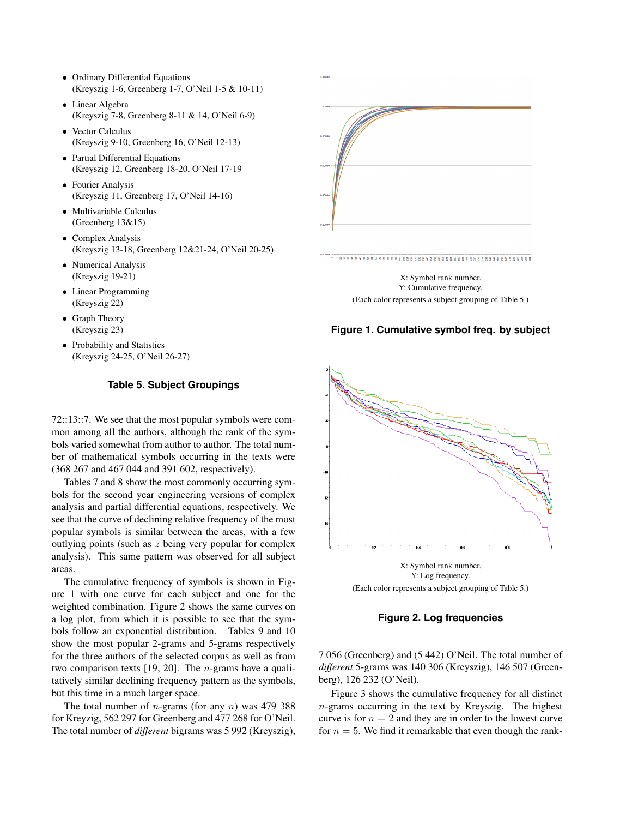- Ordinary Differential Equations (Kreyszig 1-6, Greenberg 1-7, O'Neil 1-5 & 10-11)
- Linear Algebra (Kreyszig 7-8, Greenberg 8-11 & 14, O'Neil 6-9)
- Vector Calculus (Kreyszig 9-10, Greenberg 16, O'Neil 12-13)
- Partial Differential Equations (Kreyszig 12, Greenberg 18-20, O'Neil 17-19
- Fourier Analysis (Kreyszig 11, Greenberg 17, O'Neil 14-16)
- Multivariable Calculus (Greenberg 13&15)
- Complex Analysis (Kreyszig 13-18, Greenberg 12&21-24, O'Neil 20-25)
- Numerical Analysis (Kreyszig 19-21)
- Linear Programming (Kreyszig 22)
- Graph Theory (Kreyszig 23)
- Probability and Statistics (Kreyszig 24-25, O'Neil 26-27)

### **Table 5. Subject Groupings**

72::13::7. We see that the most popular symbols were common among all the authors, although the rank of the symbols varied somewhat from author to author. The total number of mathematical symbols occurring in the texts were (368 267 and 467 044 and 391 602, respectively).

Tables 7 and 8 show the most commonly occurring symbols for the second year engineering versions of complex analysis and partial differential equations, respectively. We see that the curve of declining relative frequency of the most popular symbols is similar between the areas, with a few outlying points (such as z being very popular for complex analysis). This same pattern was observed for all subject areas.

The cumulative frequency of symbols is shown in Figure 1 with one curve for each subject and one for the weighted combination. Figure 2 shows the same curves on a log plot, from which it is possible to see that the symbols follow an exponential distribution. Tables 9 and 10 show the most popular 2-grams and 5-grams respectively for the three authors of the selected corpus as well as from two comparison texts [19, 20]. The n-grams have a qualitatively similar declining frequency pattern as the symbols, but this time in a much larger space.

The total number of *n*-grams (for any *n*) was 479 388 for Kreyzig, 562 297 for Greenberg and 477 268 for O'Neil. The total number of *different* bigrams was 5 992 (Kreyszig),



(Each color represents a subject grouping of Table 5.)





(Each color represents a subject grouping of Table 5.)

**Figure 2. Log frequencies**

7 056 (Greenberg) and (5 442) O'Neil. The total number of *different* 5-grams was 140 306 (Kreyszig), 146 507 (Greenberg), 126 232 (O'Neil).

Figure 3 shows the cumulative frequency for all distinct  $n$ -grams occurring in the text by Kreyszig. The highest curve is for  $n = 2$  and they are in order to the lowest curve for  $n = 5$ . We find it remarkable that even though the rank-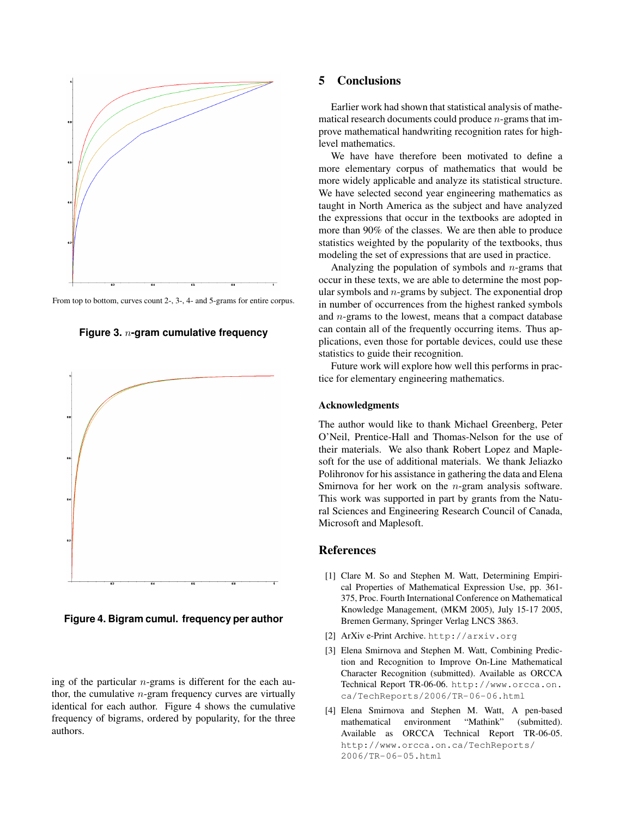

From top to bottom, curves count 2-, 3-, 4- and 5-grams for entire corpus.





**Figure 4. Bigram cumul. frequency per author**

ing of the particular  $n$ -grams is different for the each author, the cumulative  $n$ -gram frequency curves are virtually identical for each author. Figure 4 shows the cumulative frequency of bigrams, ordered by popularity, for the three authors.

## 5 Conclusions

Earlier work had shown that statistical analysis of mathematical research documents could produce  $n$ -grams that improve mathematical handwriting recognition rates for highlevel mathematics.

We have have therefore been motivated to define a more elementary corpus of mathematics that would be more widely applicable and analyze its statistical structure. We have selected second year engineering mathematics as taught in North America as the subject and have analyzed the expressions that occur in the textbooks are adopted in more than 90% of the classes. We are then able to produce statistics weighted by the popularity of the textbooks, thus modeling the set of expressions that are used in practice.

Analyzing the population of symbols and  $n$ -grams that occur in these texts, we are able to determine the most popular symbols and  $n$ -grams by subject. The exponential drop in number of occurrences from the highest ranked symbols and n-grams to the lowest, means that a compact database can contain all of the frequently occurring items. Thus applications, even those for portable devices, could use these statistics to guide their recognition.

Future work will explore how well this performs in practice for elementary engineering mathematics.

#### Acknowledgments

The author would like to thank Michael Greenberg, Peter O'Neil, Prentice-Hall and Thomas-Nelson for the use of their materials. We also thank Robert Lopez and Maplesoft for the use of additional materials. We thank Jeliazko Polihronov for his assistance in gathering the data and Elena Smirnova for her work on the *n*-gram analysis software. This work was supported in part by grants from the Natural Sciences and Engineering Research Council of Canada, Microsoft and Maplesoft.

## References

- [1] Clare M. So and Stephen M. Watt, Determining Empirical Properties of Mathematical Expression Use, pp. 361- 375, Proc. Fourth International Conference on Mathematical Knowledge Management, (MKM 2005), July 15-17 2005, Bremen Germany, Springer Verlag LNCS 3863.
- [2] ArXiv e-Print Archive. http://arxiv.org
- [3] Elena Smirnova and Stephen M. Watt, Combining Prediction and Recognition to Improve On-Line Mathematical Character Recognition (submitted). Available as ORCCA Technical Report TR-06-06. http://www.orcca.on. ca/TechReports/2006/TR-06-06.html
- [4] Elena Smirnova and Stephen M. Watt, A pen-based mathematical environment "Mathink" (submitted). Available as ORCCA Technical Report TR-06-05. http://www.orcca.on.ca/TechReports/ 2006/TR-06-05.html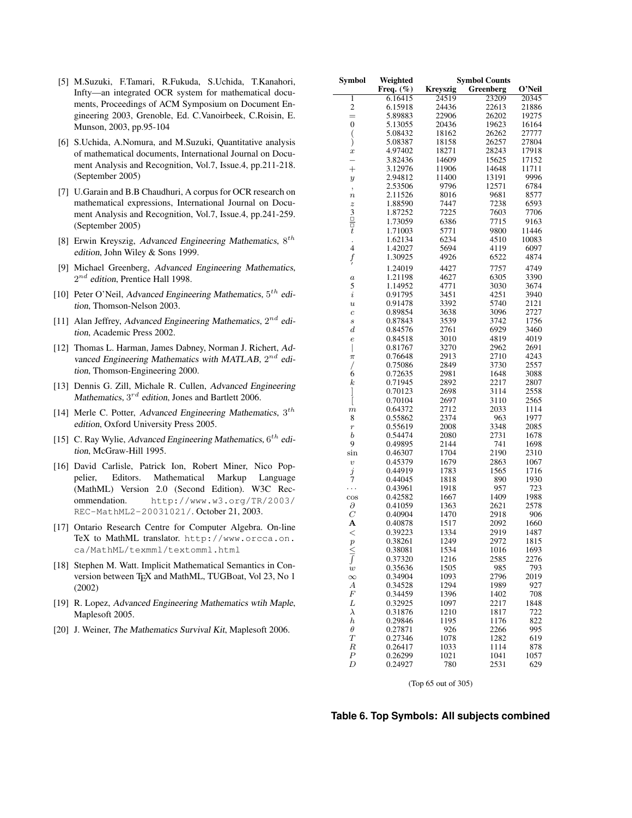- [5] M.Suzuki, F.Tamari, R.Fukuda, S.Uchida, T.Kanahori, Infty—an integrated OCR system for mathematical documents, Proceedings of ACM Symposium on Document Engineering 2003, Grenoble, Ed. C.Vanoirbeek, C.Roisin, E. Munson, 2003, pp.95-104
- [6] S.Uchida, A.Nomura, and M.Suzuki, Quantitative analysis of mathematical documents, International Journal on Document Analysis and Recognition, Vol.7, Issue.4, pp.211-218. (September 2005)
- [7] U.Garain and B.B Chaudhuri, A corpus for OCR research on mathematical expressions, International Journal on Document Analysis and Recognition, Vol.7, Issue.4, pp.241-259. (September 2005)
- [8] Erwin Kreyszig, Advanced Engineering Mathematics,  $8^{th}$ edition, John Wiley & Sons 1999.
- [9] Michael Greenberg, Advanced Engineering Mathematics,  $2^{nd}$  edition, Prentice Hall 1998.
- [10] Peter O'Neil, Advanced Engineering Mathematics,  $5^{th}$  edition, Thomson-Nelson 2003.
- [11] Alan Jeffrey, Advanced Engineering Mathematics,  $2^{nd}$  edition, Academic Press 2002.
- [12] Thomas L. Harman, James Dabney, Norman J. Richert, Advanced Engineering Mathematics with MATLAB,  $2^{nd}$  edition, Thomson-Engineering 2000.
- [13] Dennis G. Zill, Michale R. Cullen, Advanced Engineering Mathematics,  $3^{rd}$  edition, Jones and Bartlett 2006.
- [14] Merle C. Potter, Advanced Engineering Mathematics,  $3^{th}$ edition, Oxford University Press 2005.
- [15] C. Ray Wylie, Advanced Engineering Mathematics,  $6^{th}$  edition, McGraw-Hill 1995.
- [16] David Carlisle, Patrick Ion, Robert Miner, Nico Poppelier, Editors. Mathematical Markup Language (MathML) Version 2.0 (Second Edition). W3C Recommendation. http://www.w3.org/TR/2003/ REC-MathML2-20031021/. October 21, 2003.
- [17] Ontario Research Centre for Computer Algebra. On-line TeX to MathML translator. http://www.orcca.on. ca/MathML/texmml/textomml.html
- [18] Stephen M. Watt. Implicit Mathematical Semantics in Conversion between TEX and MathML, TUGBoat, Vol 23, No 1 (2002)
- [19] R. Lopez, Advanced Engineering Mathematics wtih Maple, Maplesoft 2005.
- [20] J. Weiner, The Mathematics Survival Kit, Maplesoft 2006.

| Symbol                  | Weighted           | <b>Symbol Counts</b> |              |             |  |
|-------------------------|--------------------|----------------------|--------------|-------------|--|
|                         | Freq. $(\%)$       | <b>Kreyszig</b>      | Greenberg    | O'Neil      |  |
| 1                       | 6.16415            | 24519                | 23209        | 20345       |  |
| $\overline{\mathbf{c}}$ | 6.15918            | 24436                | 22613        | 21886       |  |
| $=$                     | 5.89883            | 22906                | 26202        | 19275       |  |
| 0                       | 5.13055            | 20436                | 19623        | 16164       |  |
| $\big($                 | 5.08432            | 18162                | 26262        | 27777       |  |
| j                       | 5.08387            | 18158                | 26257        | 27804       |  |
| $\boldsymbol{x}$        | 4.97402            | 18271                | 28243        | 17918       |  |
|                         | 3.82436            | 14609                | 15625        | 17152       |  |
| $\overline{+}$          | 3.12976            | 11906                | 14648        | 11711       |  |
| $\boldsymbol{y}$        | 2.94812            | 11400                | 13191        | 9996        |  |
| ,                       | 2.53506            | 9796                 | 12571        | 6784        |  |
| $\boldsymbol{n}$        | 2.11526            | 8016                 | 9681         | 8577        |  |
|                         | 1.88590            | 7447                 | 7238         | 6593        |  |
| $rac{z}{\Box}$          | 1.87252            | 7225                 | 7603         | 7706        |  |
|                         | 1.73059            | 6386                 | 7715         | 9163        |  |
| $\boldsymbol{t}$        | 1.71003            | 5771                 | 9800         | 11446       |  |
| $\ddot{\phantom{0}}$    | 1.62134            | 6234                 | 4510         | 10083       |  |
| $\overline{\mathbf{4}}$ | 1.42027            | 5694                 | 4119         | 6097        |  |
| $\int$                  | 1.30925            | 4926                 | 6522         | 4874        |  |
|                         | 1.24019            | 4427                 | 7757         | 4749        |  |
| $\boldsymbol{a}$        | 1.21198            | 4627                 | 6305         | 3390        |  |
| 5                       | 1.14952            | 4771                 | 3030         | 3674        |  |
| $\it i$                 | 0.91795            | 3451                 | 4251         | 3940        |  |
| $\boldsymbol{u}$        | 0.91478            | 3392                 | 5740         | 2121        |  |
| $\boldsymbol{c}$        | 0.89854            | 3638                 | 3096         | 2727        |  |
| $\boldsymbol{s}$        | 0.87843            | 3539                 | 3742         | 1756        |  |
| $_{d}$                  | 0.84576            | 2761                 | 6929         | 3460        |  |
| $\epsilon$              | 0.84518            | 3010                 | 4819         | 4019        |  |
| I                       | 0.81767            | 3270                 | 2962         | 2691        |  |
| $\pi$                   | 0.76648            | 2913                 | 2710         | 4243        |  |
| Τ                       | 0.75086            | 2849                 | 3730         | 2557        |  |
| 6                       | 0.72635            | 2981                 | 1648         | 3088        |  |
| $_{k}$                  | 0.71945            | 2892                 | 2217         | 2807        |  |
|                         | 0.70123            | 2698                 | 3114         | 2558        |  |
| ]<br>[                  | 0.70104            | 2697                 | 3110         | 2565        |  |
| $\boldsymbol{m}$        | 0.64372            | 2712                 | 2033         | 1114        |  |
| 8                       | 0.55862            | 2374                 | 963          | 1977        |  |
| $\boldsymbol{r}$        | 0.55619            | 2008                 | 3348         | 2085        |  |
| b                       | 0.54474            | 2080                 | 2731         | 1678        |  |
| 9                       | 0.49895            | 2144                 | 741          | 1698        |  |
| sin                     | 0.46307            | 1704                 | 2190         | 2310        |  |
| $\boldsymbol{v}$        | 0.45379            | 1679                 | 2863         | 1067        |  |
| j<br>7                  | 0.44919            | 1783                 | 1565         | 1716        |  |
|                         | 0.44045            | 1818                 | 890          | 1930        |  |
| .                       | 0.43961            | 1918                 | 957          | 723         |  |
| $\cos$                  | 0.42582            | 1667                 | 1409         | 1988        |  |
| д                       | 0.41059            | 1363                 | 2621         | 2578        |  |
| C                       | 0.40904            | 1470                 | 2918         | 906         |  |
| А                       | 0.40878            | 1517                 | 2092         | 1660        |  |
| $\,<$                   | 0.39223            | 1334                 | 2919         | 1487        |  |
| $\boldsymbol{p}$        | 0.38261            | 1249                 | 2972         | 1815        |  |
| $\frac{1}{\sqrt{2}}$    | 0.38081            | 1534                 | 1016         | 1693        |  |
|                         | 0.37320            | 1216                 | 2585         | 2276        |  |
|                         | 0.35636            | 1505                 | 985          | 793         |  |
| $\infty$                | 0.34904            | 1093                 | 2796         | 2019        |  |
| А                       | 0.34528            | 1294                 | 1989         | 927         |  |
| F                       | 0.34459            | 1396                 | 1402         | 708         |  |
| L                       | 0.32925            | 1097                 | 2217         | 1848        |  |
| $\lambda$               | 0.31876            | 1210                 | 1817         | 722         |  |
| $_{h}$                  | 0.29846            | 1195                 | 1176         | 822         |  |
| $\theta$                | 0.27871            | 926                  | 2266         | 995         |  |
| $\scriptstyle T$        | 0.27346            | 1078                 | 1282         | 619         |  |
| R<br>$\boldsymbol{P}$   | 0.26417            | 1033                 | 1114         | 878         |  |
| D                       | 0.26299<br>0.24927 | 1021<br>780          | 1041<br>2531 | 1057<br>629 |  |
|                         |                    |                      |              |             |  |

(Top 65 out of 305)

### **Table 6. Top Symbols: All subjects combined**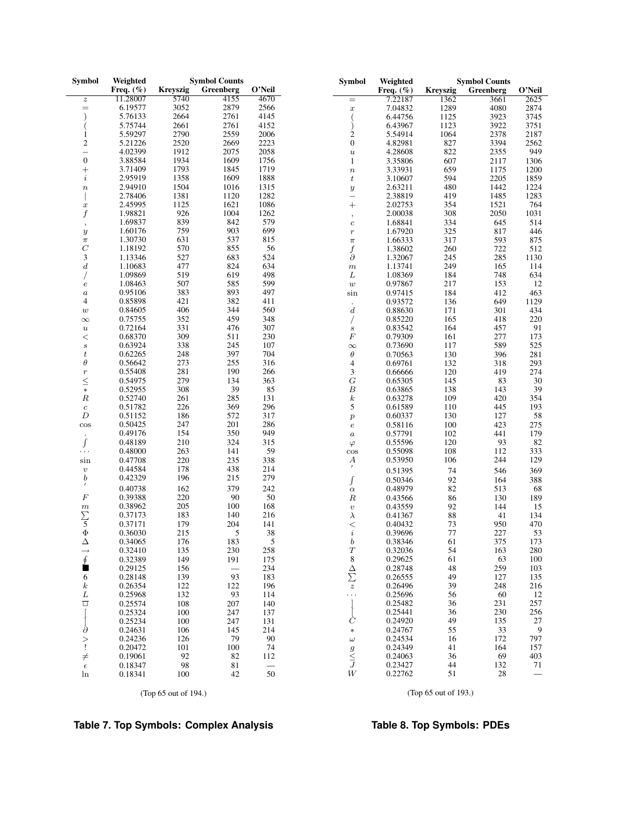| <b>Symbol</b>            | Weighted     |                 | <b>Symbol Counts</b> |        | <b>Symbol</b>                                | Weighted     |                 | <b>Symbol Counts</b> |        |
|--------------------------|--------------|-----------------|----------------------|--------|----------------------------------------------|--------------|-----------------|----------------------|--------|
|                          | Freq. $(\%)$ | <b>Kreyszig</b> | Greenberg            | O'Neil |                                              | Freq. $(\%)$ | <b>Kreyszig</b> | Greenberg            | O'Neil |
| $\boldsymbol{z}$         | 11.28007     | 5740            | 4155                 | 4670   | $=$                                          | 7.22187      | 1362            | 3661                 | 2625   |
| $=$                      | 6.19577      | 3052            | 2879                 | 2566   | $\boldsymbol{x}$                             | 7.04832      | 1289            | 4080                 | 2874   |
|                          | 5.76133      | 2664            | 2761                 | 4145   |                                              | 6.44756      | 1125            | 3923                 | 3745   |
|                          | 5.75744      | 2661            | 2761                 | 4152   |                                              | 6.43967      | 1123            | 3922                 | 3751   |
| 1                        | 5.59297      | 2790            | 2559                 | 2006   | $\overline{2}$                               | 5.54914      | 1064            | 2378                 | 2187   |
| $\mathfrak{2}$           | 5.21226      | 2520            | 2669                 | 2223   | $\boldsymbol{0}$                             | 4.82981      | 827             | 3394                 | 2562   |
| $\overline{\phantom{0}}$ | 4.02399      | 1912            | 2075                 | 2058   | $\boldsymbol{u}$                             | 4.28608      | 822             | 2355                 | 949    |
| $\boldsymbol{0}$         | 3.88584      | 1934            | 1609                 | 1756   | $\mathbf{1}$                                 | 3.35806      | 607             | 2117                 | 1306   |
| $\hspace{0.1mm} +$       | 3.71409      | 1793            | 1845                 | 1719   | $\boldsymbol{n}$                             | 3.33931      | 659             | 1175                 | 1200   |
| $\dot{\imath}$           | 2.95919      | 1358            | 1609                 | 1888   | $\boldsymbol{t}$                             | 3.10607      | 594             | 2205                 | 1859   |
| $\boldsymbol{n}$         | 2.94910      | 1504            | 1016                 | 1315   |                                              | 2.63211      | 480             | 1442                 | 1224   |
|                          | 2.78406      | 1381            | 1120                 | 1282   | $\boldsymbol{y}$<br>$\overline{\phantom{0}}$ | 2.38819      | 419             | 1485                 | 1283   |
| $\boldsymbol{x}$         | 2.45995      | 1125            | 1621                 | 1086   |                                              | 2.02753      | 354             | 1521                 | 764    |
|                          | 1.98821      | 926             | 1004                 | 1262   | $^{+}$                                       |              |                 | 2050                 | 1031   |
| f                        | 1.69837      | 839             | 842                  | 579    | $^\mathrm{,}$                                | 2.00038      | 308             |                      |        |
| $\cdot$                  |              |                 |                      | 699    | $\boldsymbol{c}$                             | 1.68841      | 334             | 645                  | 514    |
| $\boldsymbol{y}$         | 1.60176      | 759             | 903                  |        | $\boldsymbol{r}$                             | 1.67920      | 325             | 817                  | 446    |
| $\pi$                    | 1.30730      | 631             | 537                  | 815    | $\pi$                                        | 1.66333      | 317             | 593                  | 875    |
| $\boldsymbol{C}$         | 1.18192      | 570             | 855                  | 56     | $\frac{f}{\partial}$                         | 1.38602      | 260             | 722                  | 512    |
| 3                        | 1.13346      | 527             | 683                  | 524    |                                              | 1.32067      | $245\,$         | 285                  | 1130   |
| $\boldsymbol{d}$         | 1.10683      | 477             | 824                  | 634    | $\,m$                                        | 1.13741      | 249             | 165                  | 114    |
|                          | 1.09869      | 519             | 619                  | 498    | L                                            | 1.08369      | 184             | 748                  | 634    |
| $\boldsymbol{e}$         | 1.08463      | 507             | 585                  | 599    | $\boldsymbol{w}$                             | 0.97867      | 217             | 153                  | 12     |
| $\boldsymbol{a}$         | 0.95106      | 383             | 893                  | 497    | $\sin$                                       | 0.97415      | 184             | 412                  | 463    |
| 4                        | 0.85898      | 421             | 382                  | 411    |                                              | 0.93572      | 136             | 649                  | 1129   |
| $\boldsymbol{w}$         | 0.84605      | 406             | 344                  | 560    | $\boldsymbol{d}$                             | 0.88630      | 171             | 301                  | 434    |
| $\infty$                 | 0.75755      | 352             | 459                  | 348    |                                              | 0.85220      | 165             | 418                  | 220    |
| $\boldsymbol{u}$         | 0.72164      | 331             | 476                  | 307    | $\boldsymbol{s}$                             | 0.83542      | 164             | 457                  | 91     |
| $<\,$                    | 0.68370      | 309             | 511                  | 230    | $\cal F$                                     | 0.79309      | 161             | 277                  | 173    |
| $\boldsymbol{s}$         | 0.63924      | 338             | 245                  | 107    | $\infty$                                     | 0.73690      | 117             | 589                  | 525    |
| $\boldsymbol{t}$         | 0.62265      | 248             | 397                  | 704    | $\theta$                                     | 0.70563      | 130             | 396                  | 281    |
| $\theta$                 | 0.56642      | 273             | 255                  | 316    | 4                                            | 0.69761      | 132             | 318                  | 293    |
| $\boldsymbol{r}$         | 0.55408      | 281             | 190                  | 266    | 3                                            | 0.66666      | 120             | 419                  | 274    |
| $\leq$                   | 0.54975      | 279             | 134                  | 363    | $\cal G$                                     | 0.65305      | 145             | 83                   | $30\,$ |
| $\ast$                   | 0.52955      | 308             | 39                   | 85     | $\boldsymbol{B}$                             | 0.63865      | 138             | 143                  | 39     |
| $\cal R$                 | 0.52740      | 261             | 285                  | 131    | $\boldsymbol{k}$                             | 0.63278      | 109             | 420                  | 354    |
| $\boldsymbol{c}$         | 0.51782      | 226             | 369                  | 296    | 5                                            | 0.61589      | 110             | 445                  | 193    |
| $\boldsymbol{D}$         | 0.51152      | 186             | 572                  | 317    | $\boldsymbol{p}$                             | 0.60337      | 130             | 127                  | 58     |
| $\cos$                   | 0.50425      | 247             | 201                  | 286    | $\boldsymbol{e}$                             | 0.58116      | 100             | 423                  | 275    |
|                          | 0.49176      | 154             | 350                  | 949    | $\boldsymbol{a}$                             | 0.57791      | 102             | 441                  | 179    |
| $\int$                   | 0.48189      | 210             | 324                  | 315    | $\varphi$                                    | 0.55596      | 120             | 93                   | 82     |
| .                        | 0.48000      | 263             | 141                  | 59     | $\cos$                                       | 0.55098      | 108             | 112                  | 333    |
| sin                      | 0.47708      | 220             | 235                  | 338    | А                                            | 0.53950      | 106             | 244                  | 129    |
| $\upsilon$               | 0.44584      | 178             | 438                  | 214    | $\prime$                                     | 0.51395      | 74              | 546                  | 369    |
| $\boldsymbol{b}$         | 0.42329      | 196             | 215                  | 279    |                                              |              |                 |                      |        |
|                          |              |                 | 379                  |        |                                              | 0.50346      | 92              | 164                  | 388    |
| $\cal F$                 | 0.40738      | 162             |                      | 242    | $\alpha$                                     | 0.48979      | 82              | 513                  | 68     |
|                          | 0.39388      | 220             | $90\,$               | $50\,$ | $\cal R$                                     | 0.43566      | 86              | 130                  | 189    |
| $\frac{m}{5}$            | 0.38962      | 205             | 100                  | 168    | $\upsilon$                                   | 0.43559      | 92              | 144                  | 15     |
|                          | 0.37173      | 183             | 140                  | 216    | $\lambda$                                    | 0.41367      | $88\,$          | 41                   | 134    |
|                          | 0.37171      | 179             | 204                  | 141    | $\,<$                                        | 0.40432      | 73              | 950                  | 470    |
| $\Phi$                   | 0.36030      | 215             | 5                    | 38     | $\it i$                                      | 0.39696      | 77              | 227                  | 53     |
| Δ                        | 0.34065      | 176             | 183                  | 5      | b                                            | 0.38346      | 61              | 375                  | 173    |
| $\rightarrow$            | 0.32410      | 135             | 230                  | 258    | $\boldsymbol{T}$                             | 0.32036      | 54              | 163                  | 280    |
| ∮                        | 0.32389      | 149             | 191                  | 175    | $\,$ 8 $\,$                                  | 0.29625      | 61              | 63                   | 100    |
| ■                        | 0.29125      | 156             |                      | 234    | Δ                                            | 0.28748      | 48              | 259                  | 103    |
| 6                        | 0.28148      | 139             | 93                   | 183    | $\sum_{z}$                                   | 0.26555      | 49              | 127                  | 135    |
| $\boldsymbol{k}$         | 0.26354      | 122             | 122                  | 196    |                                              | 0.26496      | 39              | 248                  | 216    |
| L                        | 0.25968      | 132             | 93                   | 114    | .                                            | 0.25696      | 56              | 60                   | 12     |
| □                        | 0.25574      | 108             | 207                  | 140    |                                              | 0.25482      | 36              | 231                  | 257    |
|                          | 0.25324      | 100             | 247                  | 137    |                                              | 0.25441      | 36              | 230                  | 256    |
|                          | 0.25234      | 100             | 247                  | 131    | Č                                            | 0.24920      | 49              | 135                  | 27     |
| $\partial$               | 0.24631      | 106             | 145                  | 214    | $\ast$                                       | 0.24767      | 55              | 33                   | 9      |
| >                        | 0.24236      | 126             | 79                   | 90     | $\omega$                                     | 0.24534      | 16              | 172                  | 797    |
| Ţ                        | 0.20472      | 101             | 100                  | 74     | $\boldsymbol{g}$                             | 0.24349      | 41              | 164                  | 157    |
| $\neq$                   | 0.19061      | 92              | 82                   | 112    | $rac{z}{J}$                                  | 0.24063      | 36              | 69                   | 403    |
| $\epsilon$               | 0.18347      | 98              | 81                   |        |                                              | 0.23427      | 44              | 132                  | 71     |
| ln                       | 0.18341      | 100             | 42                   | 50     | $\ensuremath{W}$                             | 0.22762      | 51              | 28                   |        |

(Top 65 out of 194.)

(Top 65 out of 193.)

# **Table 7. Top Symbols: Complex Analysis**

# **Table 8. Top Symbols: PDEs**